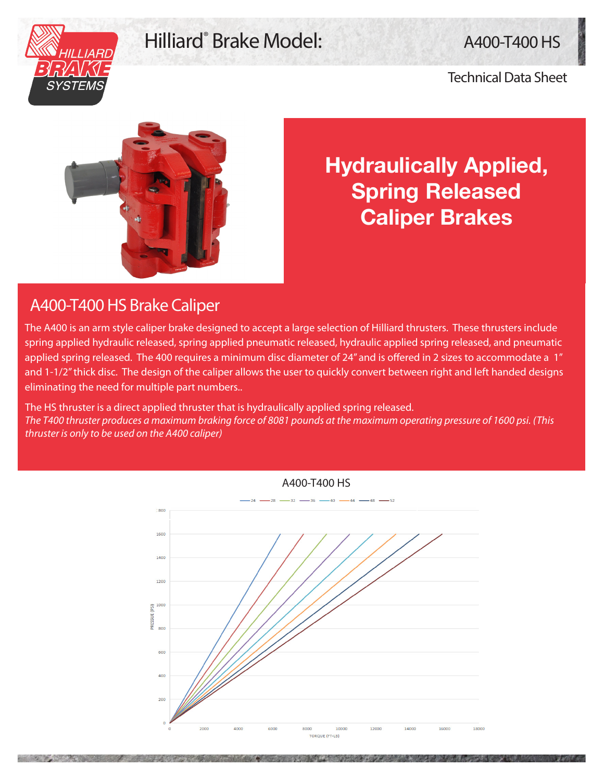## Hilliard<sup>®</sup> Brake Model: A400-T400 HS



## Technical Data Sheet



**Hydraulically Applied, Spring Released Caliper Brakes**

## A400-T400 HS Brake Caliper

The A400 is an arm style caliper brake designed to accept a large selection of Hilliard thrusters. These thrusters include spring applied hydraulic released, spring applied pneumatic released, hydraulic applied spring released, and pneumatic applied spring released. The 400 requires a minimum disc diameter of 24" and is offered in 2 sizes to accommodate a 1" and 1-1/2" thick disc. The design of the caliper allows the user to quickly convert between right and left handed designs eliminating the need for multiple part numbers..

The HS thruster is a direct applied thruster that is hydraulically applied spring released. *The T400 thruster produces a maximum braking force of 8081 pounds at the maximum operating pressure of 1600 psi. (This thruster is only to be used on the A400 caliper)*

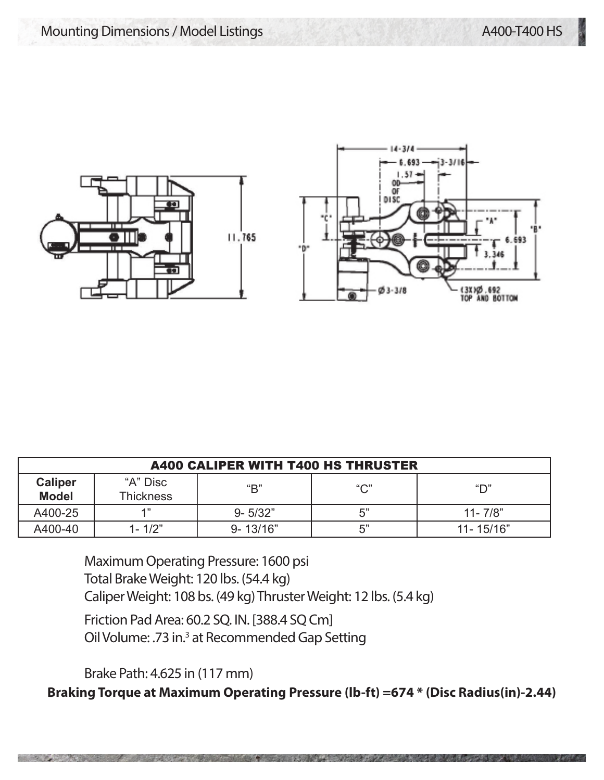

| <b>A400 CALIPER WITH T400 HS THRUSTER</b> |                              |              |              |               |
|-------------------------------------------|------------------------------|--------------|--------------|---------------|
| <b>Caliper</b><br><b>Model</b>            | "A" Disc<br><b>Thickness</b> | "B"          | $``\bigcap"$ | "ר"           |
| A400-25                                   | 4 "                          | $9 - 5/32"$  | 5"           | $11 - 7/8"$   |
| A400-40                                   | $1 - 1/2"$                   | $9 - 13/16"$ | 5"           | $11 - 15/16"$ |

Maximum Operating Pressure: 1600 psi Total Brake Weight: 120 lbs. (54.4 kg) Caliper Weight: 108 bs. (49 kg) Thruster Weight: 12 lbs. (5.4 kg)

Friction Pad Area: 60.2 SQ. IN. [388.4 SQ Cm] Oil Volume: .73 in.<sup>3</sup> at Recommended Gap Setting

Brake Path: 4.625 in (117 mm)

**Braking Torque at Maximum Operating Pressure (lb-ft) =674 \* (Disc Radius(in)-2.44)**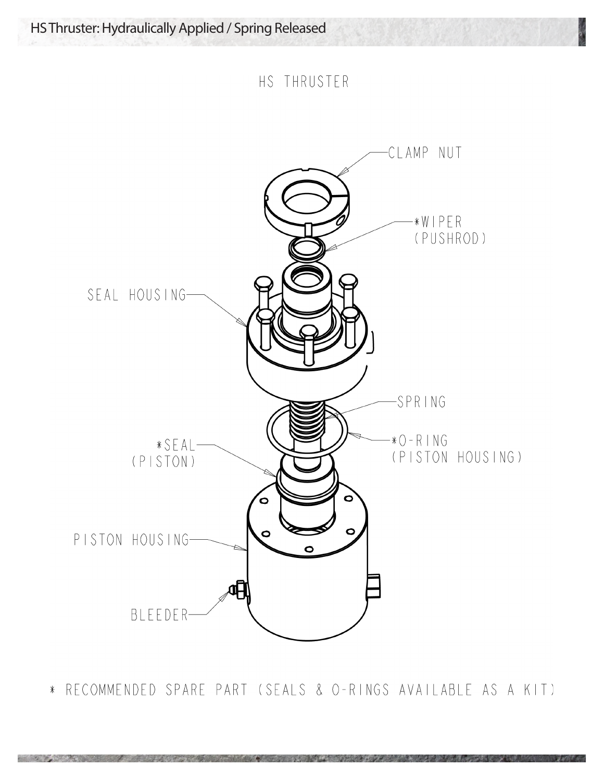HS THRUSTER



\* RECOMMENDED SPARE PART (SEALS & O-RINGS AVAILABLE AS A KIT)